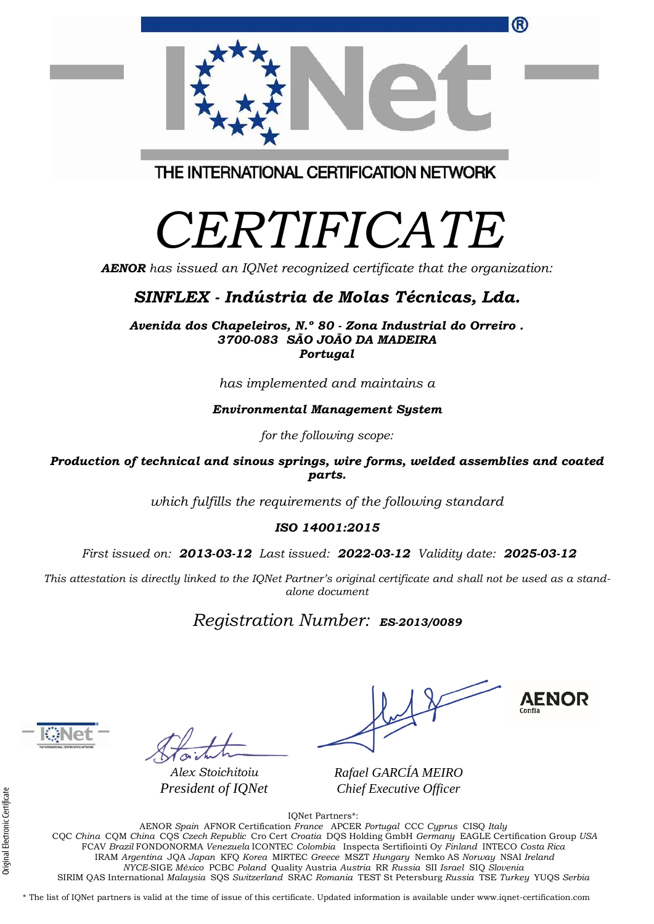| Shir <i>lea - m</i> aastrid de motas Techtcas, <i>B</i> ad.                                               |
|-----------------------------------------------------------------------------------------------------------|
| Avenida dos Chapeleiros, N.º 80 - Zona Industrial do Orreiro.<br>3700-083 SÃO JOÃO DA MADEIRA<br>Portugal |
| has implemented and maintains a                                                                           |
| <b>Environmental Management System</b>                                                                    |
| for the following scope:                                                                                  |
| roduction of technical and sinous springs, wire forms, welded assemblies and coated<br>parts.             |
| which fulfills the requirements of the following standard                                                 |

#### *ISO 14001:2015*

*First issued on: 2013-03-12 Last issued: 2022-03-12 Validity date: 2025-03-12*

This attestation is directly linked to the IQNet Partner's original certificate and shall not be used as a stand*alone document*

*Registration Number: ES-2013/0089*

*Alex Stoichitoiu President of IQNet*

**AENOR** 

®

*Rafael GARCÍA MEIRO Chief Executive Officer*

IQNet Partners\*:

AENOR *Spain* AFNOR Certification *France* APCER *Portugal* CCC *Cyprus* CISQ *Italy* CQC *China* CQM *China* CQS *Czech Republic* Cro Cert *Croatia* DQS Holding GmbH *Germany* EAGLE Certification Group *USA* FCAV *Brazil* FONDONORMA *Venezuela* ICONTEC *Colombia* Inspecta Sertifiointi Oy *Finland* INTECO *Costa Rica* IRAM *Argentina* JQA *Japan* KFQ *Korea* MIRTEC *Greece* MSZT *Hungary* Nemko AS *Norway* NSAI *Ireland NYCE-*SIGE *México* PCBC *Poland* Quality Austria *Austria* RR *Russia* SII *Israel* SIQ *Slovenia*  SIRIM QAS International *Malaysia* SQS *Switzerland* SRAC *Romania* TEST St Petersburg *Russia* TSE *Turkey* YUQS *Serbia*

\* The list of IQNet partners is valid at the time of issue of this certificate. Updated information is available under www.iqnet-certification.com

THE INTERNATIONAL CERTIFICATION NETWORK

# *CERTIFICATE*

*AENOR has issued an IQNet recognized certificate that the organization:*

#### *SINFLEX - Indústria de Molas Técnicas, Lda.*

*which fulfills the requirements of the following standard*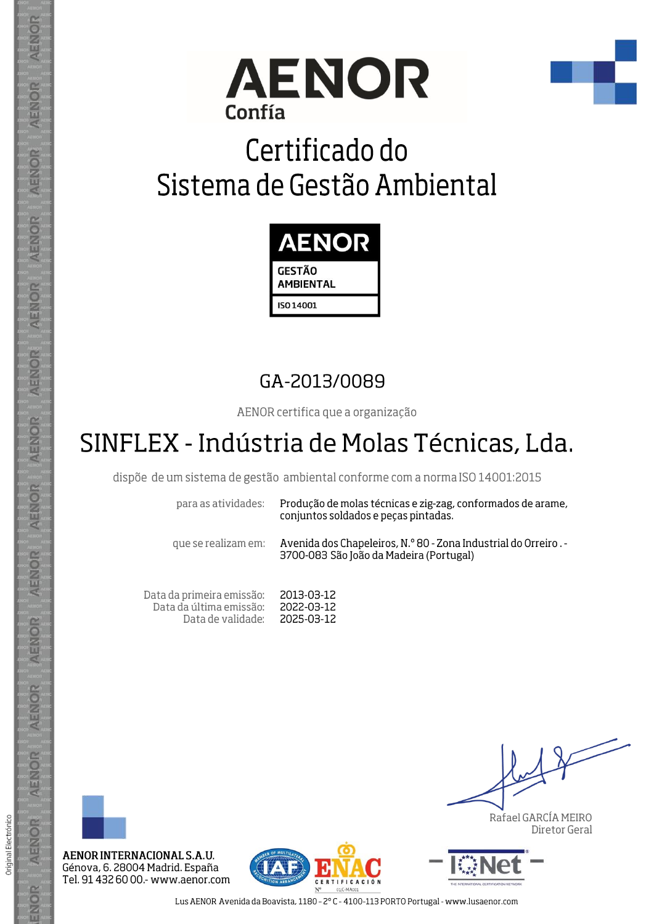



# Certificado do Sistema de Gestão Ambiental



### GA-2013/0089

AENOR certifica que a organização

### SINFLEX - Indústria de Molas Técnicas, Lda.

dispõe de um sistema de gestão ambiental conforme com a norma ISO 14001:2015

para as atividades:

Produção de molas técnicas e zig-zag, conformados de arame, conjuntos soldados e peças pintadas.

que se realizam em:

Avenida dos Chapeleiros, N.º 80 - Zona Industrial do Orreiro. -3700-083 São João da Madeira (Portugal)

Data da primeira emissão: 2013-03-12 Data da última emissão: 2022-03-12 Data de validade: 2025-03-12



AENOR

ENOR

ENOR

**AENOR** 

AENOR

AENOR

**AENOR** 

AENOR

ENOR

ENOR

AENOR

AENOR

AENOR

ENOR

Original Electrónico

AENOR INTERNACIONAL S.A.U. Génova, 6. 28004 Madrid. España Tel. 91 432 60 00.- www.aenor.com



Rafael GARCÍA MEIRO Diretor Geral



Lus AENOR Avenida da Boavista, 1180 - 2°C - 4100-113 PORTO Portugal - www.lusaenor.com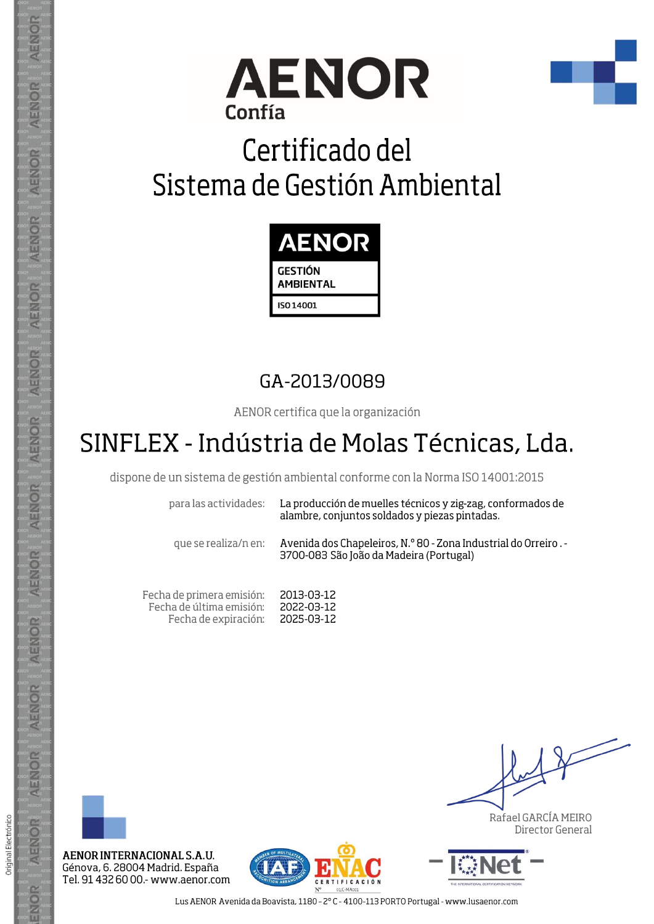



# Certificado del Sistema de Gestión Ambiental



### GA-2013/0089

AENOR certifica que la organización

## SINFLEX - Indústria de Molas Técnicas, Lda.

dispone de un sistema de gestión ambiental conforme con la Norma ISO 14001:2015

para las actividades:

La producción de muelles técnicos y zig-zag, conformados de alambre, conjuntos soldados y piezas pintadas.

que se realiza/n en:

Avenida dos Chapeleiros, N.º 80 - Zona Industrial do Orreiro. -3700-083 São João da Madeira (Portugal)

Fecha de primera emisión: 2013-03-12 Fecha de última emisión: 2022-03-12 2025-03-12 Fecha de expiración:



AENOR

ENOR

ENOR

**AENOR** 

AENOR

AENOR

**AENOR** 

AENOR

ENOR

AENOR

AENOR

AENOR

AENOR

ENOR

Original Electrónico

AENOR INTERNACIONAL S.A.U. Génova, 6. 28004 Madrid. España Tel. 91 432 60 00.- www.aenor.com



Rafael GARCÍA MEIRO Director General



Lus AENOR Avenida da Boavista, 1180 - 2°C - 4100-113 PORTO Portugal - www.lusaenor.com